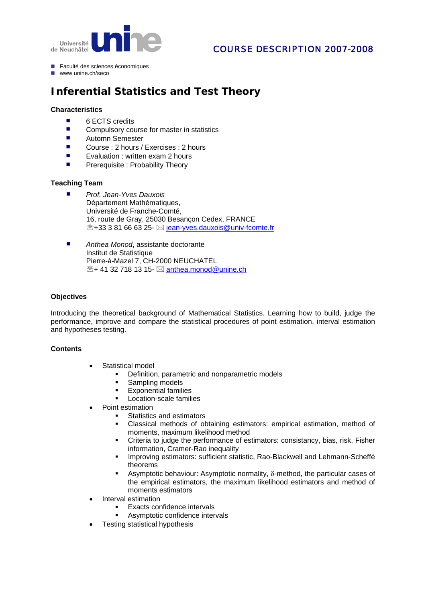

# COURSE DESCRIPTION 2007-2008

- Faculté des sciences économiques
- $M$ www.unine.ch/seco

# **Inferential Statistics and Test Theory**

#### **Characteristics**

- 6 ECTS credits
- Compulsory course for master in statistics
- Automn Semester
- Course : 2 hours / Exercises : 2 hours
- **EXECUTE:** Evaluation : written exam 2 hours
- **Prerequisite : Probability Theory**

## **Teaching Team**

- *Prof. Jean-Yves Dauxois* Département Mathématiques, Université de Franche-Comté, 16, route de Gray, 25030 Besançon Cedex, FRANCE  $\mathbb{R}$ +33 3 81 66 63 25-  $\boxtimes$  [jean-yves.dauxois@univ-fcomte.fr](mailto:jean-yves.dauxois@univ-fcomte.fr)
- Anthea Monod, assistante doctorante Institut de Statistique Pierre-à-Mazel 7, CH-2000 NEUCHATEL  $\mathbb{R}$ + 41 32 718 13 15-  $\boxtimes$  [anthea.monod@unine.ch](mailto:sabina.noormamode@unine.ch)

## **Objectives**

Introducing the theoretical background of Mathematical Statistics. Learning how to build, judge the performance, improve and compare the statistical procedures of point estimation, interval estimation and hypotheses testing.

#### **Contents**

- Statistical model
	- **•** Definition, parametric and nonparametric models
	- Sampling models
	- **Exponential families**
	- **Location-scale families**
- Point estimation
	- Statistics and estimators
	- Classical methods of obtaining estimators: empirical estimation, method of moments, maximum likelihood method
	- Criteria to judge the performance of estimators: consistancy, bias, risk, Fisher information, Cramer-Rao inequality
	- **Improving estimators: sufficient statistic, Rao-Blackwell and Lehmann-Scheffé** theorems
	- Asymptotic behaviour: Asymptotic normality, δ-method, the particular cases of the empirical estimators, the maximum likelihood estimators and method of moments estimators
- Interval estimation
	- **Exacts confidence intervals**
	- **Asymptotic confidence intervals**
- Testing statistical hypothesis